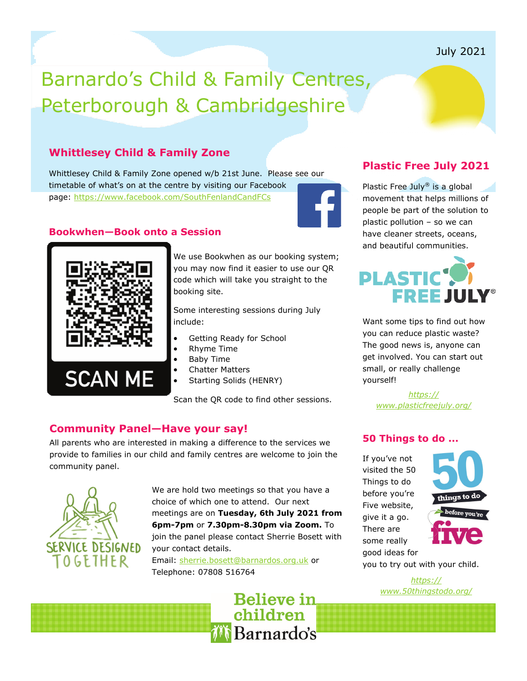## July 2021

# Barnardo's Child & Family Centres, Peterborough & Cambridgeshire

## **Whittlesey Child & Family Zone**

Whittlesey Child & Family Zone opened w/b 21st June. Please see our timetable of what's on at the centre by visiting our Facebook page:<https://www.facebook.com/SouthFenlandCandFCs>



## **Bookwhen—Book onto a Session**



We use Bookwhen as our booking system; you may now find it easier to use our QR code which will take you straight to the booking site.

Some interesting sessions during July include:

- Getting Ready for School
- Rhyme Time
- Baby Time
- Chatter Matters
- Starting Solids (HENRY)

Scan the QR code to find other sessions.

## **Community Panel—Have your say!**

All parents who are interested in making a difference to the services we provide to families in our child and family centres are welcome to join the community panel.



We are hold two meetings so that you have a choice of which one to attend. Our next meetings are on **Tuesday, 6th July 2021 from 6pm-7pm** or **7.30pm-8.30pm via Zoom.** To join the panel please contact Sherrie Bosett with your contact details.

Email: [sherrie.bosett@barnardos.org.uk](mailto:sherrie.bosett@barnardos.org.uk) or Telephone: 07808 516764



## **Plastic Free July 2021**

Plastic Free July<sup>®</sup> is a global movement that helps millions of people be part of the solution to plastic pollution – so we can have cleaner streets, oceans, and beautiful communities.



Want some tips to find out how you can reduce plastic waste? The good news is, anyone can get involved. You can start out small, or really challenge yourself!

> *[https://](https://www.plasticfreejuly.org/) [www.plasticfreejuly.org/](https://www.plasticfreejuly.org/)*

## **50 Things to do ...**

If you've not visited the 50 Things to do before you're Five website, give it a go. There are some really good ideas for



you to try out with your child.

*[https://](https://www.50thingstodo.org/) [www.50thingstodo.org/](https://www.50thingstodo.org/)*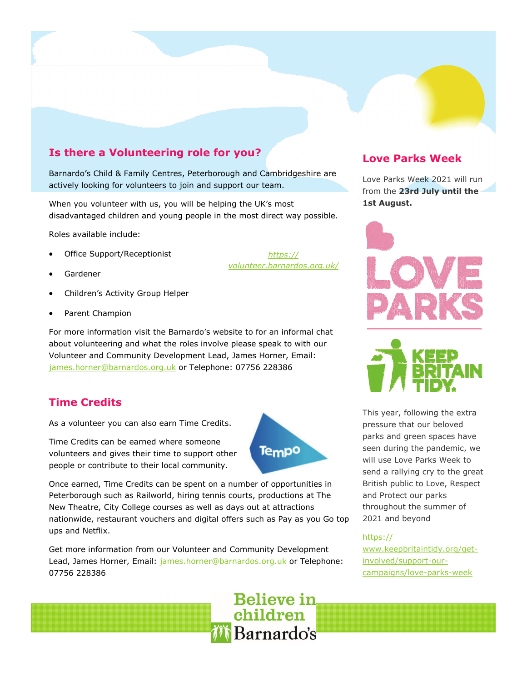## **Is there a Volunteering role for you?**

Barnardo's Child & Family Centres, Peterborough and Cambridgeshire are actively looking for volunteers to join and support our team.

When you volunteer with us, you will be helping the UK's most disadvantaged children and young people in the most direct way possible.

Roles available include:

- Office Support/Receptionist
- Gardener
- Children's Activity Group Helper
- Parent Champion

For more information visit the Barnardo's website to for an informal chat about volunteering and what the roles involve please speak to with our Volunteer and Community Development Lead, James Horner, Email: [james.horner@barnardos.org.uk](mailto:james.horner@barnardos.org.uk) or Telephone: 07756 228386

## **Time Credits**

As a volunteer you can also earn Time Credits.

Time Credits can be earned where someone volunteers and gives their time to support other people or contribute to their local community.



*[https://](https://volunteer.barnardos.org.uk/) [volunteer.barnardos.org.uk/](https://volunteer.barnardos.org.uk/)* 

Once earned, Time Credits can be spent on a number of opportunities in Peterborough such as Railworld, hiring tennis courts, productions at The New Theatre, City College courses as well as days out at attractions nationwide, restaurant vouchers and digital offers such as Pay as you Go top ups and Netflix.

Get more information from our Volunteer and Community Development Lead, James Horner, Email: [james.horner@barnardos.org.uk](mailto:james.horner@barnardos.org.uk) or Telephone: 07756 228386

## **Believe in** children Barnardo's

## **Love Parks Week**

Love Parks Week 2021 will run from the **23rd July until the 1st August.**





This year, following the extra pressure that our beloved parks and green spaces have seen during the pandemic, we will use Love Parks Week to send a rallying cry to the great British public to Love, Respect and Protect our parks throughout the summer of 2021 and beyond

### [https://](https://www.keepbritaintidy.org/get-involved/support-our-campaigns/love-parks-week)

[www.keepbritaintidy.org/get](https://www.keepbritaintidy.org/get-involved/support-our-campaigns/love-parks-week)[involved/support-our](https://www.keepbritaintidy.org/get-involved/support-our-campaigns/love-parks-week)[campaigns/love-parks-week](https://www.keepbritaintidy.org/get-involved/support-our-campaigns/love-parks-week)